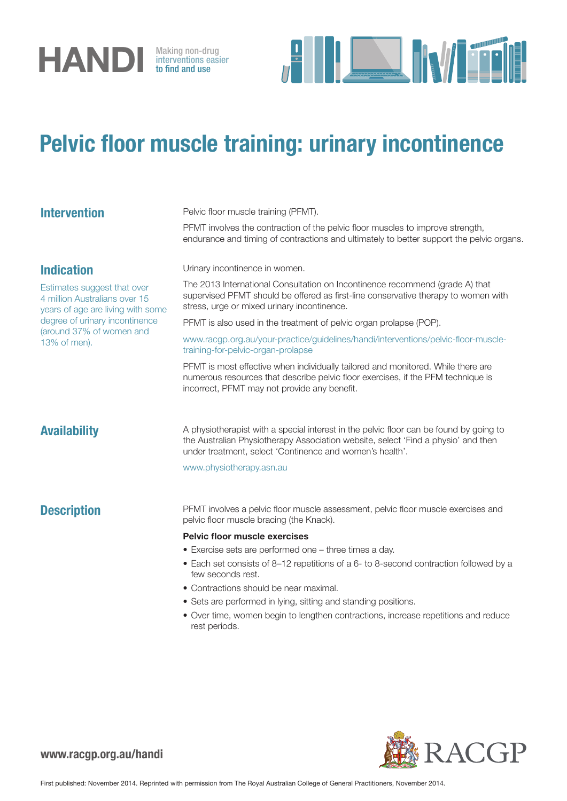

interventions easier to find and use



## Pelvic floor muscle training: urinary incontinence

| <b>Intervention</b>                                                                                                                                                                                  | Pelvic floor muscle training (PFMT).                                                                                                                                                                                                    |
|------------------------------------------------------------------------------------------------------------------------------------------------------------------------------------------------------|-----------------------------------------------------------------------------------------------------------------------------------------------------------------------------------------------------------------------------------------|
|                                                                                                                                                                                                      | PFMT involves the contraction of the pelvic floor muscles to improve strength,<br>endurance and timing of contractions and ultimately to better support the pelvic organs.                                                              |
| <b>Indication</b><br>Estimates suggest that over<br>4 million Australians over 15<br>years of age are living with some<br>degree of urinary incontinence<br>(around 37% of women and<br>13% of men). | Urinary incontinence in women.                                                                                                                                                                                                          |
|                                                                                                                                                                                                      | The 2013 International Consultation on Incontinence recommend (grade A) that<br>supervised PFMT should be offered as first-line conservative therapy to women with<br>stress, urge or mixed urinary incontinence.                       |
|                                                                                                                                                                                                      | PFMT is also used in the treatment of pelvic organ prolapse (POP).                                                                                                                                                                      |
|                                                                                                                                                                                                      | www.racgp.org.au/your-practice/guidelines/handi/interventions/pelvic-floor-muscle-<br>training-for-pelvic-organ-prolapse                                                                                                                |
|                                                                                                                                                                                                      | PFMT is most effective when individually tailored and monitored. While there are<br>numerous resources that describe pelvic floor exercises, if the PFM technique is<br>incorrect, PFMT may not provide any benefit.                    |
| <b>Availability</b>                                                                                                                                                                                  | A physiotherapist with a special interest in the pelvic floor can be found by going to<br>the Australian Physiotherapy Association website, select 'Find a physio' and then<br>under treatment, select 'Continence and women's health'. |
|                                                                                                                                                                                                      | www.physiotherapy.asn.au                                                                                                                                                                                                                |
| <b>Description</b>                                                                                                                                                                                   | PFMT involves a pelvic floor muscle assessment, pelvic floor muscle exercises and<br>pelvic floor muscle bracing (the Knack).                                                                                                           |
|                                                                                                                                                                                                      | <b>Pelvic floor muscle exercises</b>                                                                                                                                                                                                    |
|                                                                                                                                                                                                      | • Exercise sets are performed one - three times a day.                                                                                                                                                                                  |
|                                                                                                                                                                                                      | • Each set consists of 8-12 repetitions of a 6- to 8-second contraction followed by a<br>few seconds rest.                                                                                                                              |
|                                                                                                                                                                                                      | • Contractions should be near maximal.                                                                                                                                                                                                  |
|                                                                                                                                                                                                      | • Sets are performed in lying, sitting and standing positions.                                                                                                                                                                          |
|                                                                                                                                                                                                      | • Over time, women begin to lengthen contractions, increase repetitions and reduce<br>rest periods.                                                                                                                                     |
|                                                                                                                                                                                                      |                                                                                                                                                                                                                                         |



www.racgp.org.au/handi